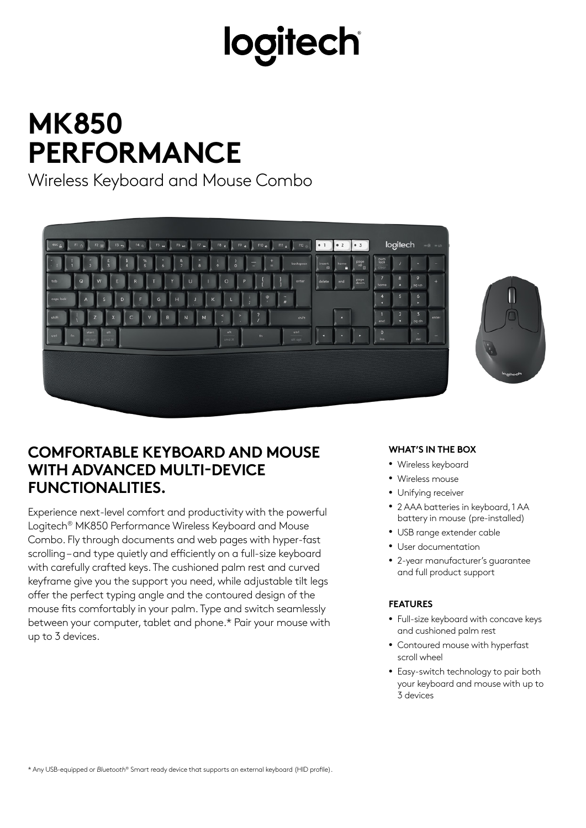# logitech

### **MK850 PERFORMANCE**

Wireless Keyboard and Mouse Combo





### **COMFORTABLE KEYBOARD AND MOUSE WITH ADVANCED MULTI-DEVICE FUNCTIONALITIES.**

Experience next-level comfort and productivity with the powerful Logitech® MK850 Performance Wireless Keyboard and Mouse Combo. Fly through documents and web pages with hyper-fast scrolling – and type quietly and efficiently on a full-size keyboard with carefully crafted keys. The cushioned palm rest and curved keyframe give you the support you need, while adjustable tilt legs offer the perfect typing angle and the contoured design of the mouse fits comfortably in your palm. Type and switch seamlessly between your computer, tablet and phone.\* Pair your mouse with up to 3 devices.

#### **WHAT'S IN THE BOX**

- Wireless keyboard
- Wireless mouse
- Unifying receiver
- 2 AAA batteries in keyboard, 1 AA battery in mouse (pre-installed)
- USB range extender cable
- User documentation
- 2-year manufacturer's guarantee and full product support

#### **FEATURES**

- Full-size keyboard with concave keys and cushioned palm rest
- Contoured mouse with hyperfast scroll wheel
- Easy-switch technology to pair both your keyboard and mouse with up to 3 devices

\* Any USB-equipped or *Bluetooth*® Smart ready device that supports an external keyboard (HID profile).